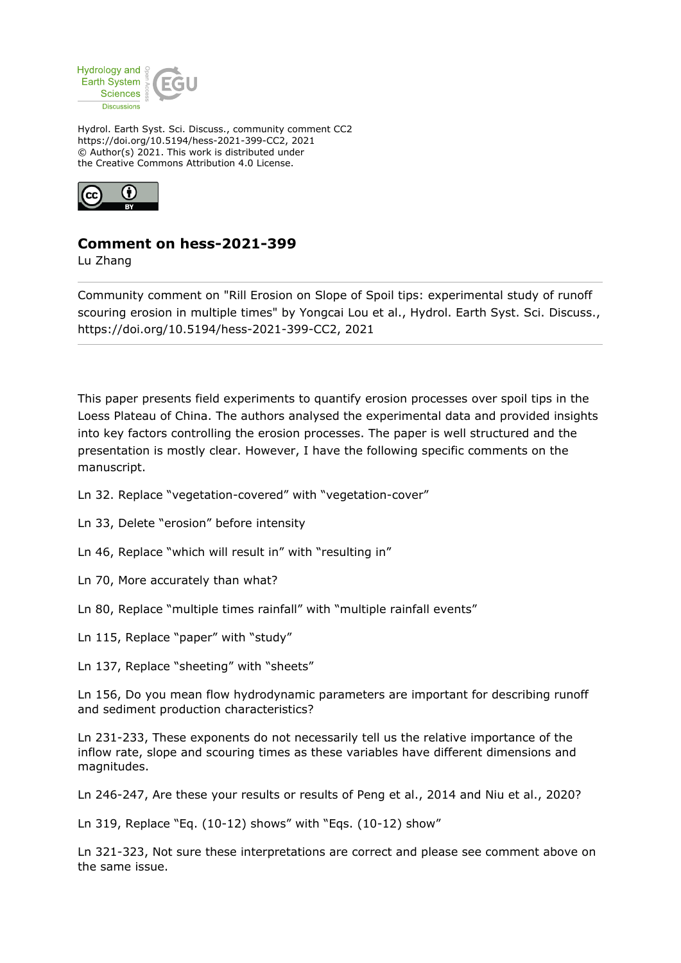

Hydrol. Earth Syst. Sci. Discuss., community comment CC2 https://doi.org/10.5194/hess-2021-399-CC2, 2021 © Author(s) 2021. This work is distributed under the Creative Commons Attribution 4.0 License.



## **Comment on hess-2021-399**

Lu Zhang

Community comment on "Rill Erosion on Slope of Spoil tips: experimental study of runoff scouring erosion in multiple times" by Yongcai Lou et al., Hydrol. Earth Syst. Sci. Discuss., https://doi.org/10.5194/hess-2021-399-CC2, 2021

This paper presents field experiments to quantify erosion processes over spoil tips in the Loess Plateau of China. The authors analysed the experimental data and provided insights into key factors controlling the erosion processes. The paper is well structured and the presentation is mostly clear. However, I have the following specific comments on the manuscript.

- Ln 32. Replace "vegetation-covered" with "vegetation-cover"
- Ln 33, Delete "erosion" before intensity
- Ln 46, Replace "which will result in" with "resulting in"
- Ln 70, More accurately than what?
- Ln 80, Replace "multiple times rainfall" with "multiple rainfall events"
- Ln 115, Replace "paper" with "study"
- Ln 137, Replace "sheeting" with "sheets"

Ln 156, Do you mean flow hydrodynamic parameters are important for describing runoff and sediment production characteristics?

Ln 231-233, These exponents do not necessarily tell us the relative importance of the inflow rate, slope and scouring times as these variables have different dimensions and magnitudes.

Ln 246-247, Are these your results or results of Peng et al., 2014 and Niu et al., 2020?

Ln 319, Replace "Eq. (10-12) shows" with "Eqs. (10-12) show"

Ln 321-323, Not sure these interpretations are correct and please see comment above on the same issue.